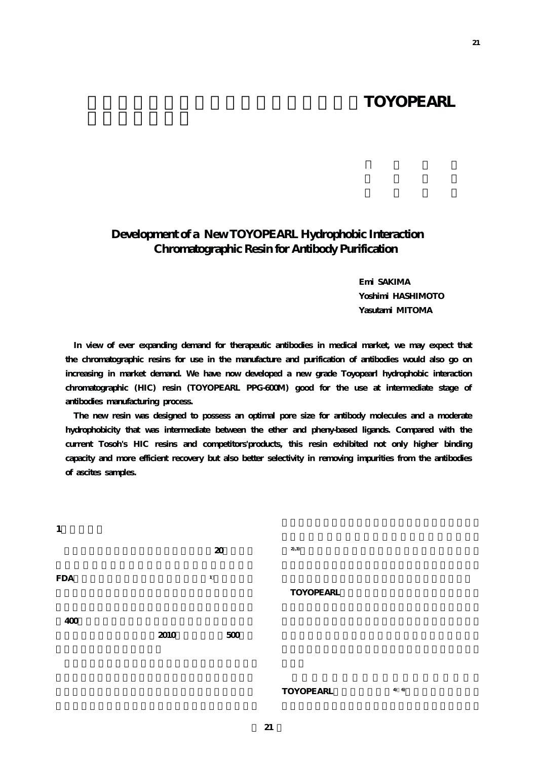## **TOYOPEARL**

## **Development of a New TOYOPEARL Hydrophobic Interaction Chromatographic Resin for Antibody Purification**

**Emi SAKIMA Yoshimi HASHIMOTO Yasutami MITOMA**

**In view of ever expanding demand for therapeutic antibodies in medical market, we may expect that the chromatographic resins for use in the manufacture and purification of antibodies would also go on increasing in market demand. We have now developed a new grade Toyopearl hydrophobic interaction chromatographic (HIC) resin (TOYOPEARL PPG-600M) good for the use at intermediate stage of antibodies manufacturing process.**

**The new resin was designed to possess an optimal pore size for antibody molecules and a moderate hydrophobicity that was intermediate between the ether and pheny-based ligands. Compared with the current Tosoh's HIC resins and competitors'products, this resin exhibited not only higher binding capacity and more efficient recovery but also better selectivity in removing impurities from the antibodies of ascites samples.**



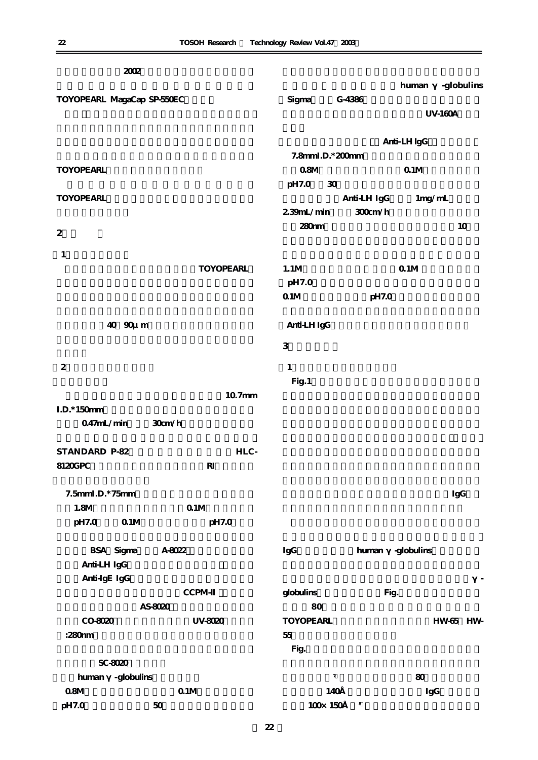|                            | 2002             |                        |        |                  |                            |            |                       |                |
|----------------------------|------------------|------------------------|--------|------------------|----------------------------|------------|-----------------------|----------------|
|                            |                  |                        |        |                  |                            |            | human                 | -globulins     |
| TOYOPEARL MagaCap SP-550EC |                  |                        |        | Sigma            | G-4386                     |            |                       | <b>UV-160A</b> |
|                            |                  |                        |        |                  |                            |            |                       |                |
|                            |                  |                        |        |                  |                            |            | Anti-LH IgG           |                |
|                            |                  |                        |        |                  | 7.8mmI.D.*200mm            |            |                       |                |
| <b>TOYOPEARL</b>           |                  |                        |        | 08M              |                            |            | $\Omega\,1\mathrm{M}$ |                |
|                            |                  |                        |        | pH7.0            | $30\,$                     |            |                       |                |
| <b>TOYOPEARL</b>           |                  |                        |        |                  | Anti-LH IgG                |            | 1mg/mL                |                |
|                            |                  |                        |        | 2.39mL/min       |                            | $300$ cm/h |                       |                |
| 2                          |                  |                        |        | $280 \text{nm}$  |                            |            |                       | 10             |
| 1                          |                  |                        |        |                  |                            |            |                       |                |
|                            |                  | <b>TOYOPEARL</b>       |        | 1.1M             |                            |            | $0.1M$                |                |
|                            |                  |                        |        | pH7.0            |                            |            |                       |                |
|                            |                  |                        |        | $\Omega$ 1M      |                            | pH7.0      |                       |                |
|                            |                  |                        |        |                  |                            |            |                       |                |
|                            | 40 90u m         |                        |        | Anti-LH IgG      |                            |            |                       |                |
|                            |                  |                        |        | $\mathsf 3$      |                            |            |                       |                |
| $\overline{2}$             |                  |                        |        | 1                |                            |            |                       |                |
|                            |                  |                        |        | Fig.1            |                            |            |                       |                |
|                            |                  |                        | 10.7mm |                  |                            |            |                       |                |
| $I.D.*150mm$               |                  |                        |        |                  |                            |            |                       |                |
| $047$ mL/min               |                  | 30cm/h                 |        |                  |                            |            |                       |                |
| STANDARD P-82              |                  |                        | HLC-   |                  |                            |            |                       |                |
| 8120GPC                    |                  | $\mathbf{R}\mathbf{I}$ |        |                  |                            |            |                       |                |
|                            |                  |                        |        |                  |                            |            |                       |                |
| 7.5mmI.D.*75mm             |                  |                        |        |                  |                            |            |                       | IgG            |
| 1.8M                       |                  | $0.1M$                 |        |                  |                            |            |                       |                |
| pH7.0                      | $0.1M$           | pH7.0                  |        |                  |                            |            |                       |                |
|                            | <b>BSA</b> Sigma | A-8022                 |        | IgG              |                            | human      | -globulins            |                |
| Anti-LH IgG                |                  |                        |        |                  |                            |            |                       |                |
| Anti-IgE IgG               |                  |                        |        |                  |                            |            |                       |                |
|                            |                  | CCPM-                  |        | globulins        |                            | Fig.       |                       |                |
|                            | AS-8020          |                        |        | 80               |                            |            |                       |                |
| CO-8020                    |                  | UV-8020                |        | <b>TOYOPEARL</b> |                            |            |                       | HW-65 HW-      |
| :280nm                     |                  |                        |        | $55\,$           |                            |            |                       |                |
|                            |                  |                        |        | Fig.             |                            |            |                       |                |
|                            | SC-8020          |                        |        |                  |                            |            |                       |                |
| human                      | -globulins       |                        |        |                  | $\boldsymbol{7}$           |            | 80                    |                |
| $08M$                      |                  | $\Omega\,1\mathrm{M}$  |        |                  | 140                        |            | IgG                   |                |
| pH7.0                      |                  | $50\,$                 |        |                  | $100 \!\times\!~ 150$<br>8 |            |                       |                |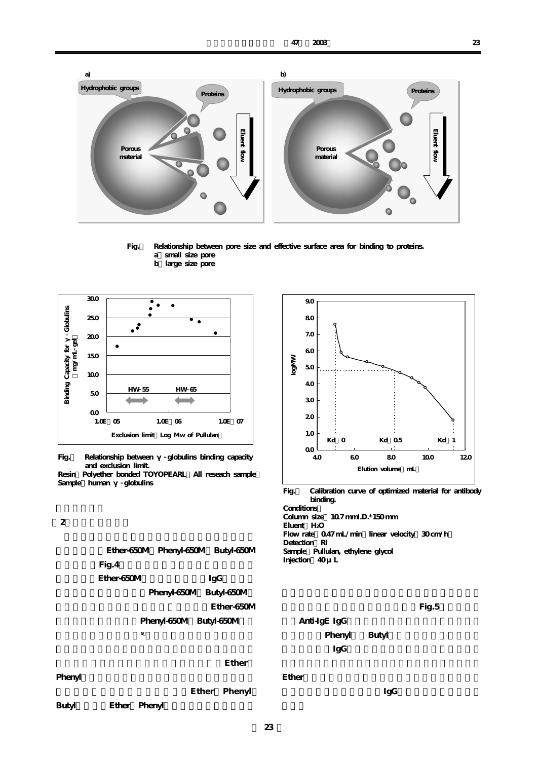



- **Fig.1 Relationship between pore size and effective surface area for binding to proteins. a)small size pore b)large size pore**
	-



**Fig.** Relationship between globulins binding capacity  **and exclusion limit.**  Resin: Polyether bonded TOYOPEARL All reseach sample<br>Sample human globulins **Sample: human** 

**2 b** 





**Fig.3 Calibration curve of optimized material for antibody binding. Conditions: Column size;10.7 mmI.D.\*150 mm Eluent;H2O**  Flow rate 0.47 mL/min linear velocity 30 cm/h Detection RI Sample Pullulan, ethylene glycol

**Injection;40 μL**

**た担体を試作し、物性を比較した。Fig.5にマウス腹**

**Anti-IgE IgG** Phenyl Butyl *IgG* 

 $I$ gGood  $I$ gGood  $I$ s  $I$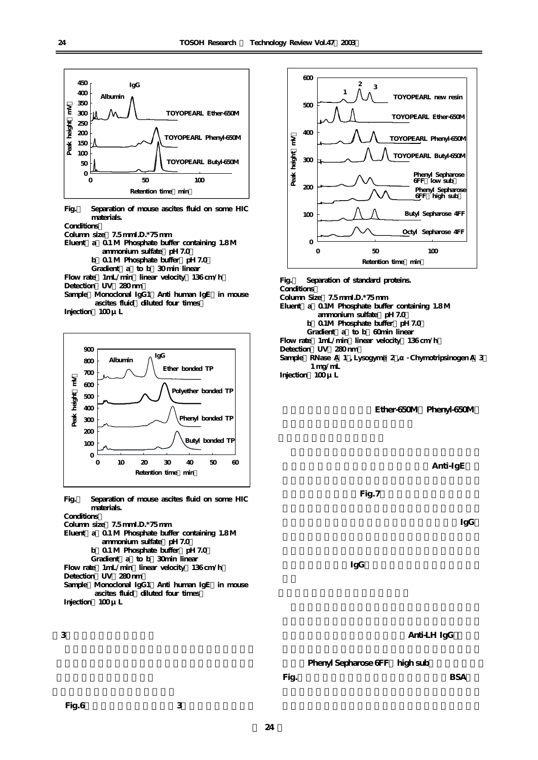

**Fig.4 Separation of mouse ascites fluid on some HIC materials.** 

**Conditions:** 

**Column size;7.5 mmI.D.\*75 mm** 

- Eluent a  $0.1 M$  Phosphate buffer containing 1.8 M ammonium sulfate pH 7.0
	-
	- **b**  $0.1$  M Phosphate buffer pH 7.0 Gradient a to b 30 min linear

Flow rate 1mL/min linear velocity 136 cm/h Detection UV 280 nm Sample: Monoclonal IgG1 Anti human IgE in mouse ascites fluid diluted four times

**Injection;100 μL**



**Fig.5 Separation of mouse ascites fluid on some HIC materials.** 

**Conditions:** 

**Column size;7.5 mmI.D.\*75 mm**  Eluent a  $0.1 M$  Phosphate buffer containing 1.8 M ammonium sulfate pH 7.0 **b**  $0.1$  M Phosphate buffer pH 7.0 Gradient a to b 30min linear Flow rate 1mL/min linear velocity 136 cm/h Detection UV 280 nm Sample: Monoclonal IgG1 Anti human IgE in mouse ascites fluid diluted four times **Injection;100 μL**

**Fig.6に市販の標準タンパク質3種類の分離例を示し**





**Fig.6 Separation of standard proteins. Conditions: Column Size;7.5 mmI.D.\*75 mm**  Eluent a 0.1M Phosphate buffer containing 1.8 M  **ammonium sulfate(pH 7.0) b**  $0.1M$  Phosphate buffer pH 7.0 Gradient a to b 60min linear **Flow rate;1mL/min(linear velocity:136 cm/h) Detection;UV(280 nm)**  Sample: RNase A 1, Lysogyme 2, Chymotripsinogen A 3  **1 mg/mL Injection;100 μL**

Ether-650M Phenyl-650M

**Anti-IgE** 

**離の比較を行った。Fig.7にその結果を示した。他社**

**the Properties IgG** 

 $\Gamma$ gG  $\Gamma$  **IgG**  $\Gamma$  **IgG**  $\Gamma$  **IgG**  $\Gamma$  **If**  $\Gamma$   $\Gamma$  **If**  $\Gamma$   $\Gamma$  **If**  $\Gamma$   $\Gamma$  **If**  $\Gamma$   $\Gamma$  **If**  $\Gamma$   $\Gamma$  **If**  $\Gamma$   $\Gamma$  **If**  $\Gamma$   $\Gamma$  **If**  $\Gamma$   $\Gamma$  **If**  $\Gamma$   $\Gamma$  **If**  $\Gamma$   $\Gamma$  **If**  $\Gamma$   $\Gamma$  **If**  $\Gamma$   $\$ 

**Anti-LH IgG** 

Phenyl Sepharose 6FF high sub

**Fig.** BSA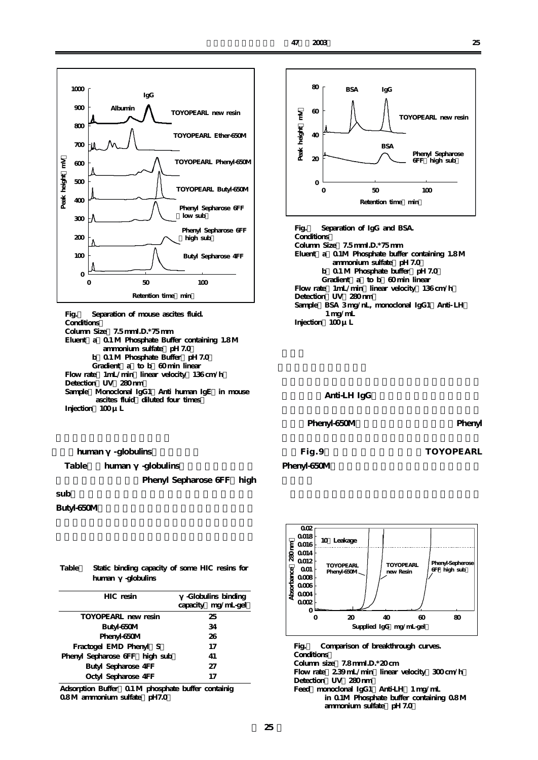

| Fig. Separation of mouse ascites fluid.          |  |  |  |  |
|--------------------------------------------------|--|--|--|--|
| Conditions                                       |  |  |  |  |
| Column Size $75$ mmLD.* $75$ mm                  |  |  |  |  |
| Eluent a 0.1 M Phosphate Buffer containing 1.8 M |  |  |  |  |
| ammonium sulfate pH 7.0                          |  |  |  |  |
| b 0.1 M Phosphate Buffer pH 7.0                  |  |  |  |  |
| Gradient a to b 60 min linear                    |  |  |  |  |
| Flow rate 1 mL/min linear velocity 136 cm/h      |  |  |  |  |
| Detection UV 280nm                               |  |  |  |  |
| Sample Monoclonal IgG1 Anti human IgE in mouse   |  |  |  |  |
| ascites fluid diluted four times                 |  |  |  |  |
| Injection $100 \mu$ L                            |  |  |  |  |

human -globulins

Table<sub>human -globulins</sub>

Phenyl Sepharose 6FF high

**sub)で最も高い吸着容量が得られた。また既存品**

## Butyl-650M

| Table Static binding capacity of some HIC resins for |  |
|------------------------------------------------------|--|
| human -globulins                                     |  |

| HIC resin                     | -Globuling binding<br>capacity mg/mL-gel |
|-------------------------------|------------------------------------------|
| TOYOPEARL new resin           | 25                                       |
| Butyl-650M                    | 34                                       |
| Phenyl-650M                   | 26                                       |
| Fractogel EMD Phenyl S        | 17                                       |
| Phenyl Sepharose GFF high sub | 41                                       |
| <b>Butyl Sepharose 4FF</b>    | 27                                       |
| Octyl Sepharose 4FF           | 17                                       |

**Adsorption Buffer;0.1 M phosphate buffer containig**  0.8M ammonium sulfate pH7.0



**Fig.8 Separation of IgG and BSA. Conditions: Column Size;7.5 mmI.D.\*75 mm**  Eluent a 0.1M Phosphate buffer containing 1.8M ammonium sulfate pH 7.0 **b**  $0.1$  M Phosphate buffer pH 7.0 Gradient a to b 60 min linear Flow rate 1mL/min linear velocity 136 cm/h Detection UV 280 nm Sample: BSA 3 mg/nL, monoclonal IgG1 Anti- LH  **1 mg/mL Injection;100 μL**

## **Anti-LH IgG**

Phenyl-650M Phenyl

```
た。Fig.9に結果を示した。既存のTOYOPEARL
Phenyl-650M
```


**Fig.9 Comparison of breakthrough curves. Conditions: Column size;7.8 mmI.D.\*20 cm**  Flow rate 2.39 mL/min linear velocity 300 cm/h Detection UV 280mm Feed monoclonal IgG1 Anti-LH 1 mg/mL  **in 0.1M Phosphate buffer containing 0.8 M ammonium sulfate(pH 7.0)**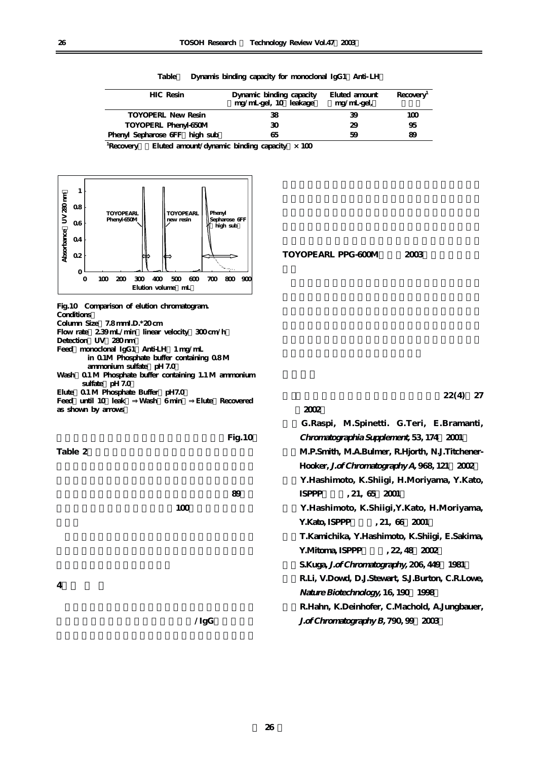| HIC Resin                     | Dynamic binding capacity<br>mg/mL-gel, 10 leakage | Eluted amount<br>mg/mL-gel, | Recovery <sup>1</sup> |
|-------------------------------|---------------------------------------------------|-----------------------------|-----------------------|
| <b>TOYOPERL New Resin</b>     | 38                                                | 39                          | 1M                    |
| TOYOPERL Phenyl-650M          | зо                                                | 29                          | 95                    |
| Phenyl Sepharose GFF high sub | 65                                                | 59                          | 89                    |

Table Dynamis binding capacity for monoclonal IgG1 Anti- LH

<sup>1</sup>Recovery Eluted amount/dynamic binding capacity  $\times$  100



| TOYOPEARL PPG-600M | 2003 |  |
|--------------------|------|--|
|                    |      |  |

**(2002)**

**Fig.10 Comparison of elution chromatogram. Conditions: Column Size;7.8 mmI.D.\*20 cm**  Flow rate 2.39 mL/min linear velocity 300 cm/h Detection UV 280 nm Feed monoclonal IgG1 Anti-LH 1 mg/mL  **in 0.1M Phosphate buffer containing 0.8 M**  ammonium sulfate pH 7.0 **Wash;0.1 M Phosphate buffer containing 1.1 M ammonium**  sulfate pH 7.0 **Elute;0.1 M Phosphate Buffer(pH7.0) Feed(until 10%leak)⇒Wash(6 min)⇒Elute(Recovered as shown by arrows)** 

 $100$ 

Table 2

 $Fig. 10$ 

**短縮等の利点がある。また、競合品の回収率が89%で**

**ガンドを選択することでアルブミン/IgGの優れた分**

**1)(財)国際医学情報センター機関紙、22(4)、27**

| G.Raspi, M.Spinetti. G.Teri, E.Bramanti,         |
|--------------------------------------------------|
| Chromatographia Supplement, 53, 174 2001         |
| M.P.Smith, M.A.Bulmer, R.Hjorth, N.J.Titchener-  |
| Hooker, J.of Chromatography A, 968, 121 2002     |
| Y.Hashimoto, K.Shiigi, H.Moriyama, Y.Kato,       |
| ISPPP<br>.21, 65, 2001                           |
| Y.Hashimoto, K.Shiigi, Y.Kato, H.Moriyama,       |
| Y.Kato, ISPPP<br>.21, 66, 2001                   |
| T.Kamichika, Y.Hashimoto, K.Shiigi, E.Sakima,    |
| Y.Mitoma, ISPPP, 22, 48, 2002                    |
| S.Kuga, J.of Chromatography, 206, 449 1981       |
| R.Li, V.Dowd, D.J.Stewart, S.J.Burton, C.R.Lowe, |
| Nature Biotechnology, 16, 190 1998               |
| R.Hahn, K.Deinhofer, C.Machold, A.Jungbauer,     |
| J. of Chromatography B, 790, 99 2003             |
|                                                  |